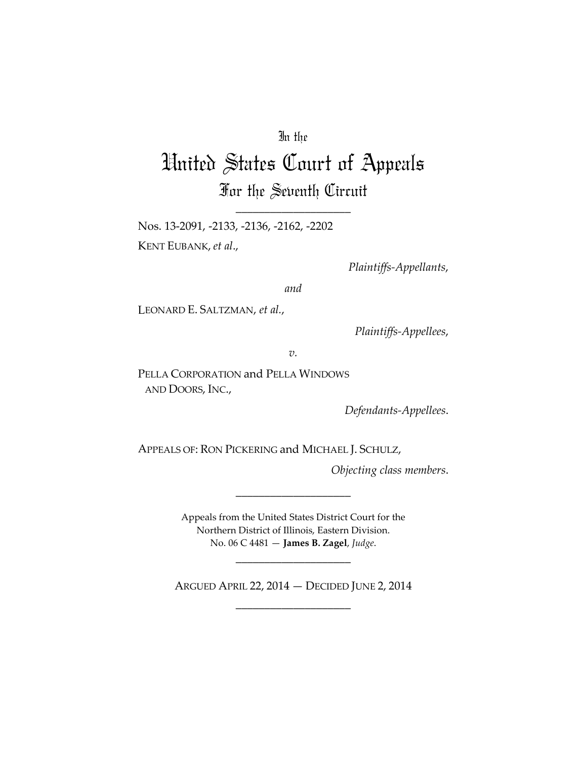## In the

## United States Court of Appeals For the Seventh Circuit

\_\_\_\_\_\_\_\_\_\_\_\_\_\_\_\_\_\_\_\_

Nos. 13-2091, -2133, -2136, -2162, -2202 KENT EUBANK, *et al*.,

*Plaintiffs-Appellants*,

*and*

LEONARD E. SALTZMAN, *et al.*,

*Plaintiffs-Appellees*,

*v.*

PELLA CORPORATION and PELLA WINDOWS AND DOORS, INC.,

*Defendants-Appellees*.

APPEALS OF: RON PICKERING and MICHAEL J. SCHULZ,

*Objecting class members*.

Appeals from the United States District Court for the Northern District of Illinois, Eastern Division. No. 06 C 4481 — **James B. Zagel**, *Judge*.

\_\_\_\_\_\_\_\_\_\_\_\_\_\_\_\_\_\_\_\_

ARGUED APRIL 22, 2014 — DECIDED JUNE 2, 2014 \_\_\_\_\_\_\_\_\_\_\_\_\_\_\_\_\_\_\_\_

\_\_\_\_\_\_\_\_\_\_\_\_\_\_\_\_\_\_\_\_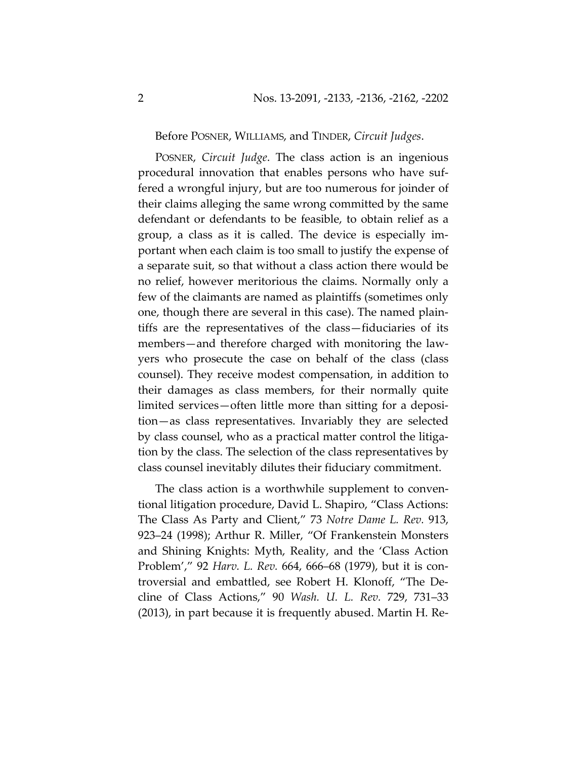Before POSNER, WILLIAMS, and TINDER, *Circuit Judges*.

POSNER, *Circuit Judge*. The class action is an ingenious procedural innovation that enables persons who have suffered a wrongful injury, but are too numerous for joinder of their claims alleging the same wrong committed by the same defendant or defendants to be feasible, to obtain relief as a group, a class as it is called. The device is especially important when each claim is too small to justify the expense of a separate suit, so that without a class action there would be no relief, however meritorious the claims. Normally only a few of the claimants are named as plaintiffs (sometimes only one, though there are several in this case). The named plaintiffs are the representatives of the class—fiduciaries of its members—and therefore charged with monitoring the lawyers who prosecute the case on behalf of the class (class counsel). They receive modest compensation, in addition to their damages as class members, for their normally quite limited services—often little more than sitting for a deposition—as class representatives. Invariably they are selected by class counsel, who as a practical matter control the litigation by the class. The selection of the class representatives by class counsel inevitably dilutes their fiduciary commitment.

The class action is a worthwhile supplement to conventional litigation procedure, David L. Shapiro, "Class Actions: The Class As Party and Client," 73 *Notre Dame L. Rev.* 913, 923–24 (1998); Arthur R. Miller, "Of Frankenstein Monsters and Shining Knights: Myth, Reality, and the 'Class Action Problem'," 92 *Harv. L. Rev.* 664, 666–68 (1979), but it is controversial and embattled, see Robert H. Klonoff, "The Decline of Class Actions," 90 *Wash. U. L. Rev.* 729, 731–33 (2013), in part because it is frequently abused. Martin H. Re-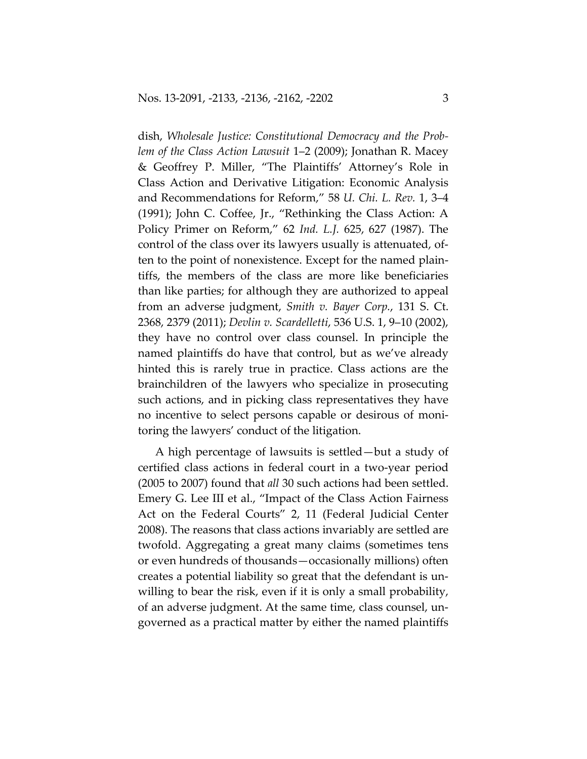dish, *Wholesale Justice: Constitutional Democracy and the Problem of the Class Action Lawsuit* 1–2 (2009); Jonathan R. Macey & Geoffrey P. Miller, "The Plaintiffs' Attorney's Role in Class Action and Derivative Litigation: Economic Analysis and Recommendations for Reform," 58 *U. Chi. L. Rev.* 1, 3–4 (1991); John C. Coffee, Jr., "Rethinking the Class Action: A Policy Primer on Reform," 62 *Ind. L.J.* 625, 627 (1987). The control of the class over its lawyers usually is attenuated, often to the point of nonexistence. Except for the named plaintiffs, the members of the class are more like beneficiaries than like parties; for although they are authorized to appeal from an adverse judgment, *Smith v. Bayer Corp.*, 131 S. Ct. 2368, 2379 (2011); *Devlin v. Scardelletti*, 536 U.S. 1, 9–10 (2002), they have no control over class counsel. In principle the named plaintiffs do have that control, but as we've already hinted this is rarely true in practice. Class actions are the brainchildren of the lawyers who specialize in prosecuting such actions, and in picking class representatives they have no incentive to select persons capable or desirous of monitoring the lawyers' conduct of the litigation.

A high percentage of lawsuits is settled—but a study of certified class actions in federal court in a two-year period (2005 to 2007) found that *all* 30 such actions had been settled. Emery G. Lee III et al., "Impact of the Class Action Fairness Act on the Federal Courts" 2, 11 (Federal Judicial Center 2008). The reasons that class actions invariably are settled are twofold. Aggregating a great many claims (sometimes tens or even hundreds of thousands—occasionally millions) often creates a potential liability so great that the defendant is unwilling to bear the risk, even if it is only a small probability, of an adverse judgment. At the same time, class counsel, ungoverned as a practical matter by either the named plaintiffs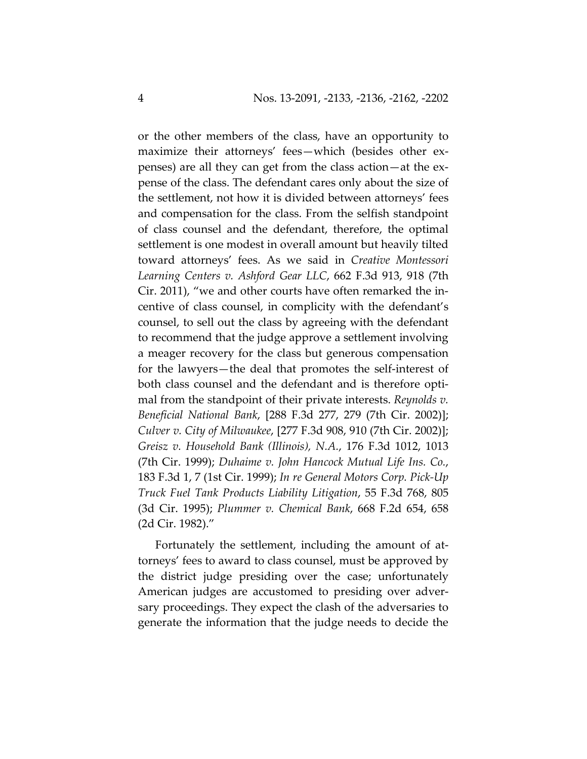or the other members of the class, have an opportunity to maximize their attorneys' fees—which (besides other expenses) are all they can get from the class action—at the expense of the class. The defendant cares only about the size of the settlement, not how it is divided between attorneys' fees and compensation for the class. From the selfish standpoint of class counsel and the defendant, therefore, the optimal settlement is one modest in overall amount but heavily tilted toward attorneys' fees. As we said in *Creative Montessori Learning Centers v. Ashford Gear LLC*, 662 F.3d 913, 918 (7th Cir. 2011), "we and other courts have often remarked the incentive of class counsel, in complicity with the defendant's counsel, to sell out the class by agreeing with the defendant to recommend that the judge approve a settlement involving a meager recovery for the class but generous compensation for the lawyers—the deal that promotes the self-interest of both class counsel and the defendant and is therefore optimal from the standpoint of their private interests. *Reynolds v. Beneficial National Bank*, [288 F.3d 277, 279 (7th Cir. 2002)]; *Culver v. City of Milwaukee*, [277 F.3d 908, 910 (7th Cir. 2002)]; *Greisz v. Household Bank (Illinois), N.A.*, 176 F.3d 1012, 1013 (7th Cir. 1999); *Duhaime v. John Hancock Mutual Life Ins. Co.*, 183 F.3d 1, 7 (1st Cir. 1999); *In re General Motors Corp. Pick-Up Truck Fuel Tank Products Liability Litigation*, 55 F.3d 768, 805 (3d Cir. 1995); *Plummer v. Chemical Bank*, 668 F.2d 654, 658 (2d Cir. 1982)."

Fortunately the settlement, including the amount of attorneys' fees to award to class counsel, must be approved by the district judge presiding over the case; unfortunately American judges are accustomed to presiding over adversary proceedings. They expect the clash of the adversaries to generate the information that the judge needs to decide the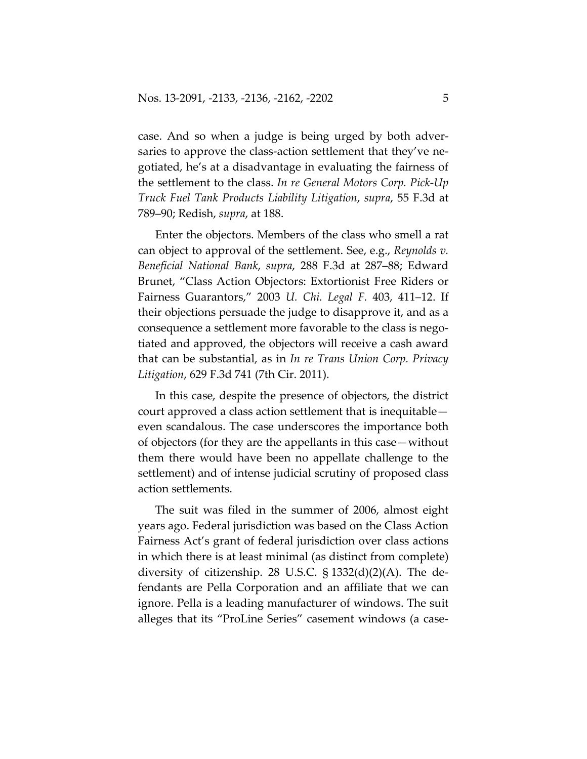case. And so when a judge is being urged by both adversaries to approve the class-action settlement that they've negotiated, he's at a disadvantage in evaluating the fairness of the settlement to the class. *In re General Motors Corp. Pick-Up Truck Fuel Tank Products Liability Litigation*, *supra*, 55 F.3d at 789–90; Redish, *supra*, at 188.

Enter the objectors. Members of the class who smell a rat can object to approval of the settlement. See, e.g., *Reynolds v. Beneficial National Bank*, *supra*, 288 F.3d at 287–88; Edward Brunet, "Class Action Objectors: Extortionist Free Riders or Fairness Guarantors," 2003 *U. Chi. Legal F.* 403, 411–12. If their objections persuade the judge to disapprove it, and as a consequence a settlement more favorable to the class is negotiated and approved, the objectors will receive a cash award that can be substantial, as in *In re Trans Union Corp. Privacy Litigation*, 629 F.3d 741 (7th Cir. 2011).

In this case, despite the presence of objectors, the district court approved a class action settlement that is inequitable even scandalous. The case underscores the importance both of objectors (for they are the appellants in this case—without them there would have been no appellate challenge to the settlement) and of intense judicial scrutiny of proposed class action settlements.

The suit was filed in the summer of 2006, almost eight years ago. Federal jurisdiction was based on the Class Action Fairness Act's grant of federal jurisdiction over class actions in which there is at least minimal (as distinct from complete) diversity of citizenship. 28 U.S.C.  $\S$  1332(d)(2)(A). The defendants are Pella Corporation and an affiliate that we can ignore. Pella is a leading manufacturer of windows. The suit alleges that its "ProLine Series" casement windows (a case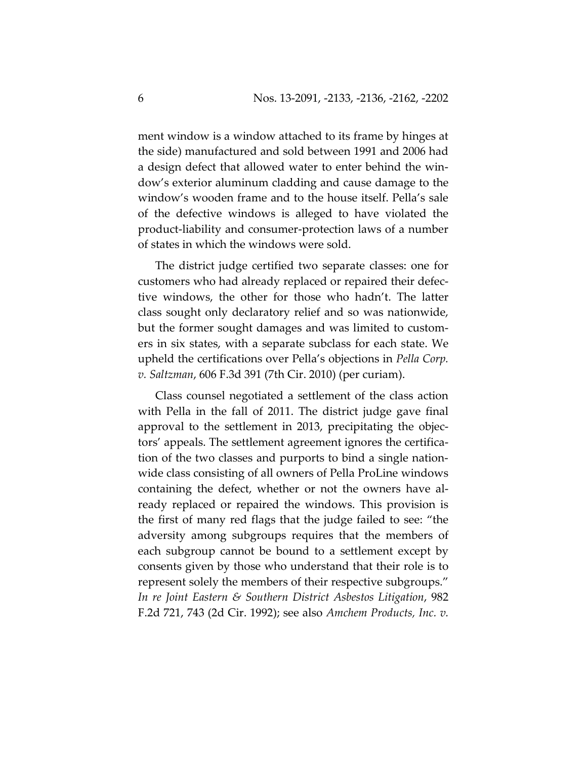ment window is a window attached to its frame by hinges at the side) manufactured and sold between 1991 and 2006 had a design defect that allowed water to enter behind the window's exterior aluminum cladding and cause damage to the window's wooden frame and to the house itself. Pella's sale of the defective windows is alleged to have violated the product-liability and consumer-protection laws of a number of states in which the windows were sold.

The district judge certified two separate classes: one for customers who had already replaced or repaired their defective windows, the other for those who hadn't. The latter class sought only declaratory relief and so was nationwide, but the former sought damages and was limited to customers in six states, with a separate subclass for each state. We upheld the certifications over Pella's objections in *Pella Corp. v. Saltzman*, 606 F.3d 391 (7th Cir. 2010) (per curiam).

Class counsel negotiated a settlement of the class action with Pella in the fall of 2011. The district judge gave final approval to the settlement in 2013, precipitating the objectors' appeals. The settlement agreement ignores the certification of the two classes and purports to bind a single nationwide class consisting of all owners of Pella ProLine windows containing the defect, whether or not the owners have already replaced or repaired the windows. This provision is the first of many red flags that the judge failed to see: "the adversity among subgroups requires that the members of each subgroup cannot be bound to a settlement except by consents given by those who understand that their role is to represent solely the members of their respective subgroups." *In re Joint Eastern & Southern District Asbestos Litigation*, 982 F.2d 721, 743 (2d Cir. 1992); see also *Amchem Products, Inc. v.*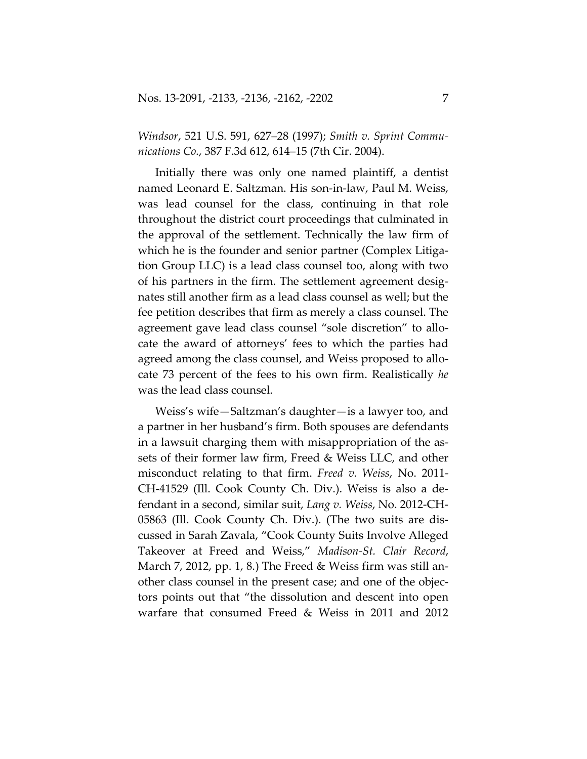*Windsor*, 521 U.S. 591, 627–28 (1997); *Smith v. Sprint Communications Co.*, 387 F.3d 612, 614–15 (7th Cir. 2004).

Initially there was only one named plaintiff, a dentist named Leonard E. Saltzman. His son-in-law, Paul M. Weiss, was lead counsel for the class, continuing in that role throughout the district court proceedings that culminated in the approval of the settlement. Technically the law firm of which he is the founder and senior partner (Complex Litigation Group LLC) is a lead class counsel too, along with two of his partners in the firm. The settlement agreement designates still another firm as a lead class counsel as well; but the fee petition describes that firm as merely a class counsel. The agreement gave lead class counsel "sole discretion" to allocate the award of attorneys' fees to which the parties had agreed among the class counsel, and Weiss proposed to allocate 73 percent of the fees to his own firm. Realistically *he* was the lead class counsel.

Weiss's wife—Saltzman's daughter—is a lawyer too, and a partner in her husband's firm. Both spouses are defendants in a lawsuit charging them with misappropriation of the assets of their former law firm, Freed & Weiss LLC, and other misconduct relating to that firm. *Freed v. Weiss*, No. 2011- CH-41529 (Ill. Cook County Ch. Div.). Weiss is also a defendant in a second, similar suit, *Lang v. Weiss*, No. 2012-CH-05863 (Ill. Cook County Ch. Div.). (The two suits are discussed in Sarah Zavala, "Cook County Suits Involve Alleged Takeover at Freed and Weiss," *Madison-St. Clair Record*, March 7, 2012, pp. 1, 8.) The Freed & Weiss firm was still another class counsel in the present case; and one of the objectors points out that "the dissolution and descent into open warfare that consumed Freed & Weiss in 2011 and 2012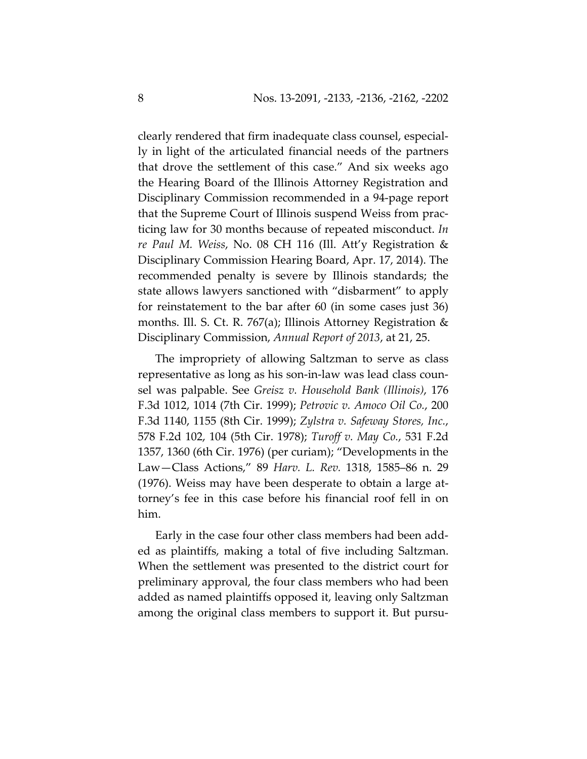clearly rendered that firm inadequate class counsel, especially in light of the articulated financial needs of the partners that drove the settlement of this case." And six weeks ago the Hearing Board of the Illinois Attorney Registration and Disciplinary Commission recommended in a 94-page report that the Supreme Court of Illinois suspend Weiss from practicing law for 30 months because of repeated misconduct. *In re Paul M. Weiss*, No. 08 CH 116 (Ill. Att'y Registration & Disciplinary Commission Hearing Board, Apr. 17, 2014). The recommended penalty is severe by Illinois standards; the state allows lawyers sanctioned with "disbarment" to apply for reinstatement to the bar after 60 (in some cases just 36) months. Ill. S. Ct. R. 767(a); Illinois Attorney Registration & Disciplinary Commission, *Annual Report of 2013*, at 21, 25.

The impropriety of allowing Saltzman to serve as class representative as long as his son-in-law was lead class counsel was palpable. See *Greisz v. Household Bank (Illinois)*, 176 F.3d 1012, 1014 (7th Cir. 1999); *Petrovic v. Amoco Oil Co.*, 200 F.3d 1140, 1155 (8th Cir. 1999); *Zylstra v. Safeway Stores, Inc.*, 578 F.2d 102, 104 (5th Cir. 1978); *Turoff v. May Co.*, 531 F.2d 1357, 1360 (6th Cir. 1976) (per curiam); "Developments in the Law—Class Actions," 89 *Harv. L. Rev.* 1318, 1585–86 n. 29 (1976). Weiss may have been desperate to obtain a large attorney's fee in this case before his financial roof fell in on him.

Early in the case four other class members had been added as plaintiffs, making a total of five including Saltzman. When the settlement was presented to the district court for preliminary approval, the four class members who had been added as named plaintiffs opposed it, leaving only Saltzman among the original class members to support it. But pursu-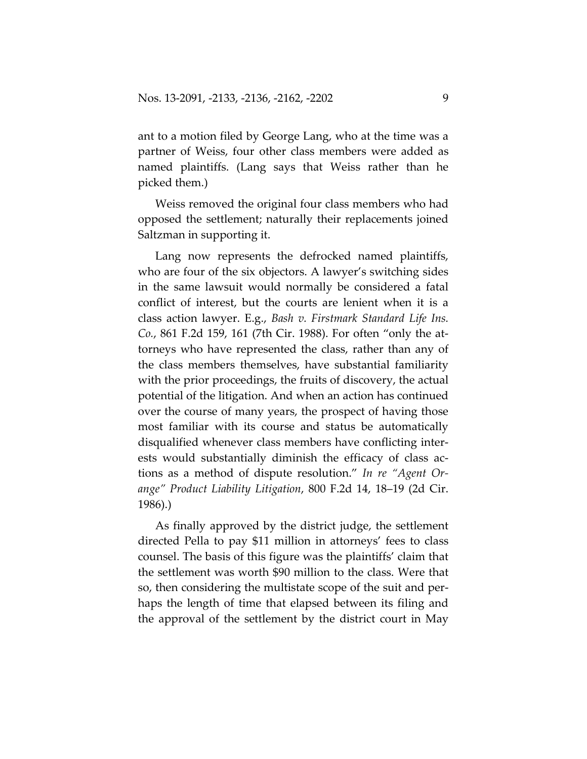ant to a motion filed by George Lang, who at the time was a partner of Weiss, four other class members were added as named plaintiffs. (Lang says that Weiss rather than he picked them.)

Weiss removed the original four class members who had opposed the settlement; naturally their replacements joined Saltzman in supporting it.

Lang now represents the defrocked named plaintiffs, who are four of the six objectors. A lawyer's switching sides in the same lawsuit would normally be considered a fatal conflict of interest, but the courts are lenient when it is a class action lawyer. E.g., *Bash v. Firstmark Standard Life Ins. Co.*, 861 F.2d 159, 161 (7th Cir. 1988). For often "only the attorneys who have represented the class, rather than any of the class members themselves, have substantial familiarity with the prior proceedings, the fruits of discovery, the actual potential of the litigation. And when an action has continued over the course of many years, the prospect of having those most familiar with its course and status be automatically disqualified whenever class members have conflicting interests would substantially diminish the efficacy of class actions as a method of dispute resolution." *In re "Agent Orange" Product Liability Litigation*, 800 F.2d 14, 18–19 (2d Cir. 1986).)

As finally approved by the district judge, the settlement directed Pella to pay \$11 million in attorneys' fees to class counsel. The basis of this figure was the plaintiffs' claim that the settlement was worth \$90 million to the class. Were that so, then considering the multistate scope of the suit and perhaps the length of time that elapsed between its filing and the approval of the settlement by the district court in May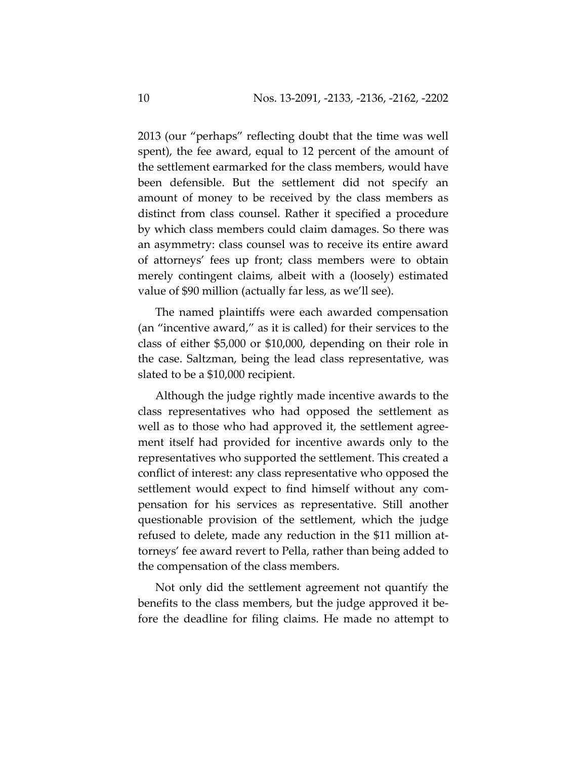2013 (our "perhaps" reflecting doubt that the time was well spent), the fee award, equal to 12 percent of the amount of the settlement earmarked for the class members, would have been defensible. But the settlement did not specify an amount of money to be received by the class members as distinct from class counsel. Rather it specified a procedure by which class members could claim damages. So there was an asymmetry: class counsel was to receive its entire award of attorneys' fees up front; class members were to obtain merely contingent claims, albeit with a (loosely) estimated value of \$90 million (actually far less, as we'll see).

The named plaintiffs were each awarded compensation (an "incentive award," as it is called) for their services to the class of either \$5,000 or \$10,000, depending on their role in the case. Saltzman, being the lead class representative, was slated to be a \$10,000 recipient.

Although the judge rightly made incentive awards to the class representatives who had opposed the settlement as well as to those who had approved it, the settlement agreement itself had provided for incentive awards only to the representatives who supported the settlement. This created a conflict of interest: any class representative who opposed the settlement would expect to find himself without any compensation for his services as representative. Still another questionable provision of the settlement, which the judge refused to delete, made any reduction in the \$11 million attorneys' fee award revert to Pella, rather than being added to the compensation of the class members.

Not only did the settlement agreement not quantify the benefits to the class members, but the judge approved it before the deadline for filing claims. He made no attempt to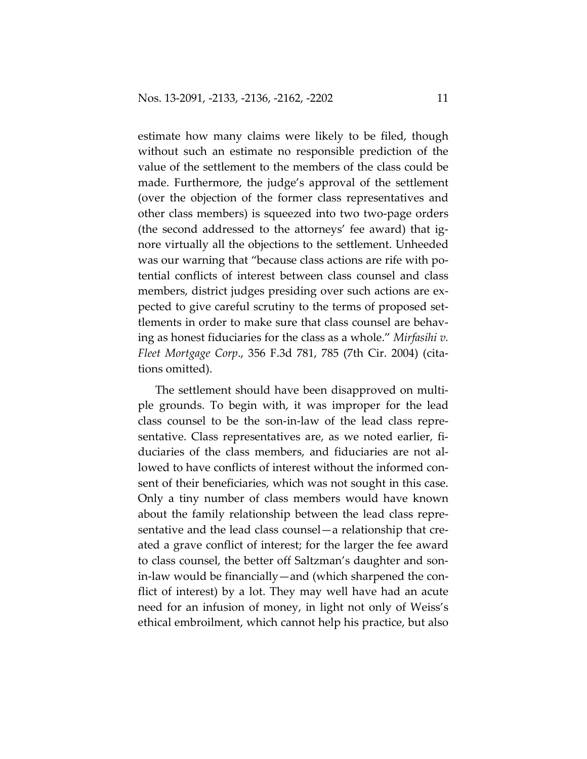estimate how many claims were likely to be filed, though without such an estimate no responsible prediction of the value of the settlement to the members of the class could be made. Furthermore, the judge's approval of the settlement (over the objection of the former class representatives and other class members) is squeezed into two two-page orders (the second addressed to the attorneys' fee award) that ignore virtually all the objections to the settlement. Unheeded was our warning that "because class actions are rife with potential conflicts of interest between class counsel and class members, district judges presiding over such actions are expected to give careful scrutiny to the terms of proposed settlements in order to make sure that class counsel are behaving as honest fiduciaries for the class as a whole." *Mirfasihi v. Fleet Mortgage Corp*., 356 F.3d 781, 785 (7th Cir. 2004) (citations omitted).

The settlement should have been disapproved on multiple grounds. To begin with, it was improper for the lead class counsel to be the son-in-law of the lead class representative. Class representatives are, as we noted earlier, fiduciaries of the class members, and fiduciaries are not allowed to have conflicts of interest without the informed consent of their beneficiaries, which was not sought in this case. Only a tiny number of class members would have known about the family relationship between the lead class representative and the lead class counsel—a relationship that created a grave conflict of interest; for the larger the fee award to class counsel, the better off Saltzman's daughter and sonin-law would be financially—and (which sharpened the conflict of interest) by a lot. They may well have had an acute need for an infusion of money, in light not only of Weiss's ethical embroilment, which cannot help his practice, but also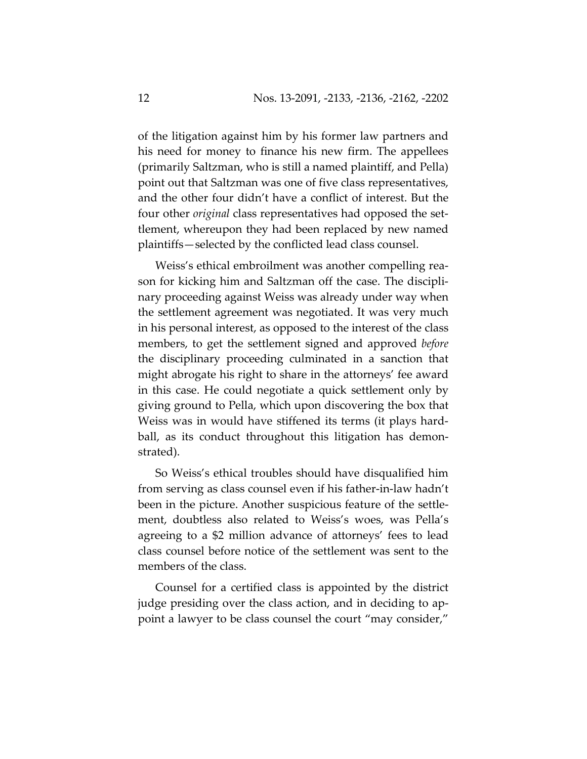of the litigation against him by his former law partners and his need for money to finance his new firm. The appellees (primarily Saltzman, who is still a named plaintiff, and Pella) point out that Saltzman was one of five class representatives, and the other four didn't have a conflict of interest. But the four other *original* class representatives had opposed the settlement, whereupon they had been replaced by new named plaintiffs—selected by the conflicted lead class counsel.

Weiss's ethical embroilment was another compelling reason for kicking him and Saltzman off the case. The disciplinary proceeding against Weiss was already under way when the settlement agreement was negotiated. It was very much in his personal interest, as opposed to the interest of the class members, to get the settlement signed and approved *before* the disciplinary proceeding culminated in a sanction that might abrogate his right to share in the attorneys' fee award in this case. He could negotiate a quick settlement only by giving ground to Pella, which upon discovering the box that Weiss was in would have stiffened its terms (it plays hardball, as its conduct throughout this litigation has demonstrated).

So Weiss's ethical troubles should have disqualified him from serving as class counsel even if his father-in-law hadn't been in the picture. Another suspicious feature of the settlement, doubtless also related to Weiss's woes, was Pella's agreeing to a \$2 million advance of attorneys' fees to lead class counsel before notice of the settlement was sent to the members of the class.

Counsel for a certified class is appointed by the district judge presiding over the class action, and in deciding to appoint a lawyer to be class counsel the court "may consider,"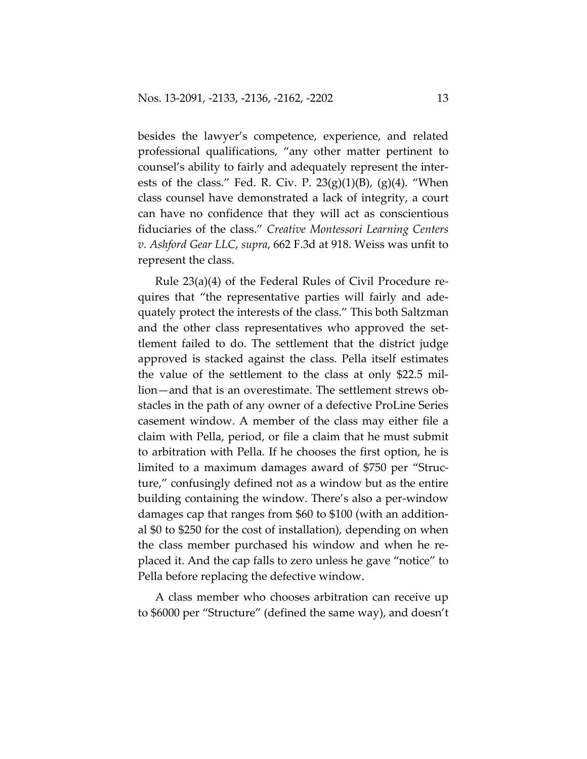besides the lawyer's competence, experience, and related professional qualifications, "any other matter pertinent to counsel's ability to fairly and adequately represent the interests of the class." Fed. R. Civ. P.  $23(g)(1)(B)$ ,  $(g)(4)$ . "When class counsel have demonstrated a lack of integrity, a court can have no confidence that they will act as conscientious fiduciaries of the class." *Creative Montessori Learning Centers v. Ashford Gear LLC*, *supra*, 662 F.3d at 918. Weiss was unfit to represent the class.

Rule 23(a)(4) of the Federal Rules of Civil Procedure requires that "the representative parties will fairly and adequately protect the interests of the class." This both Saltzman and the other class representatives who approved the settlement failed to do. The settlement that the district judge approved is stacked against the class. Pella itself estimates the value of the settlement to the class at only \$22.5 million—and that is an overestimate. The settlement strews obstacles in the path of any owner of a defective ProLine Series casement window. A member of the class may either file a claim with Pella, period, or file a claim that he must submit to arbitration with Pella. If he chooses the first option, he is limited to a maximum damages award of \$750 per "Structure," confusingly defined not as a window but as the entire building containing the window. There's also a per-window damages cap that ranges from \$60 to \$100 (with an additional \$0 to \$250 for the cost of installation), depending on when the class member purchased his window and when he replaced it. And the cap falls to zero unless he gave "notice" to Pella before replacing the defective window.

A class member who chooses arbitration can receive up to \$6000 per "Structure" (defined the same way), and doesn't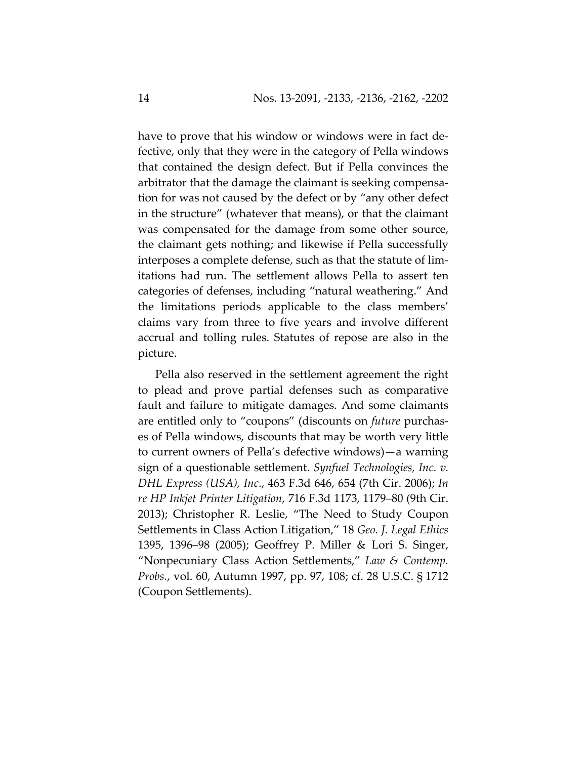have to prove that his window or windows were in fact defective, only that they were in the category of Pella windows that contained the design defect. But if Pella convinces the arbitrator that the damage the claimant is seeking compensation for was not caused by the defect or by "any other defect in the structure" (whatever that means), or that the claimant was compensated for the damage from some other source, the claimant gets nothing; and likewise if Pella successfully interposes a complete defense, such as that the statute of limitations had run. The settlement allows Pella to assert ten categories of defenses, including "natural weathering." And the limitations periods applicable to the class members' claims vary from three to five years and involve different accrual and tolling rules. Statutes of repose are also in the picture.

Pella also reserved in the settlement agreement the right to plead and prove partial defenses such as comparative fault and failure to mitigate damages. And some claimants are entitled only to "coupons" (discounts on *future* purchases of Pella windows, discounts that may be worth very little to current owners of Pella's defective windows)—a warning sign of a questionable settlement. *Synfuel Technologies, Inc. v. DHL Express (USA), Inc*., 463 F.3d 646, 654 (7th Cir. 2006); *In re HP Inkjet Printer Litigation*, 716 F.3d 1173, 1179–80 (9th Cir. 2013); Christopher R. Leslie, "The Need to Study Coupon Settlements in Class Action Litigation," 18 *Geo. J. Legal Ethics* 1395, 1396–98 (2005); Geoffrey P. Miller & Lori S. Singer, "Nonpecuniary Class Action Settlements," *Law & Contemp. Probs.*, vol. 60, Autumn 1997, pp. 97, 108; cf. 28 U.S.C. § 1712 (Coupon Settlements).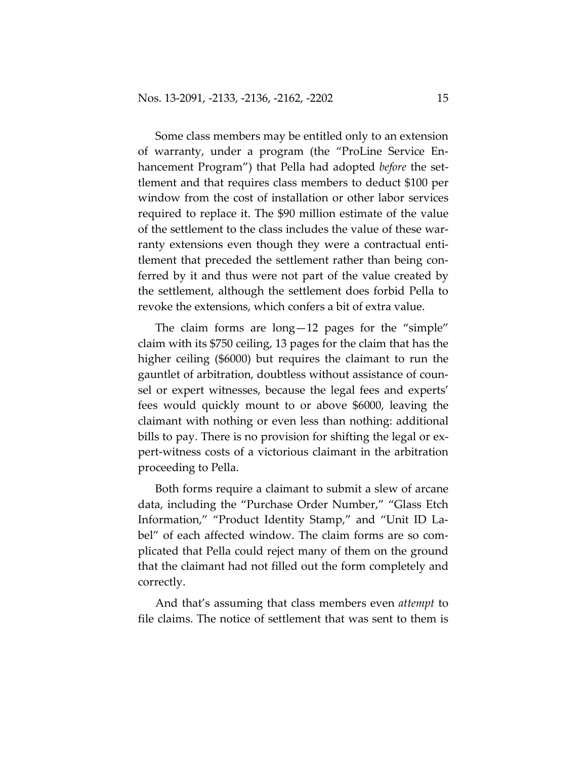Some class members may be entitled only to an extension of warranty, under a program (the "ProLine Service Enhancement Program") that Pella had adopted *before* the settlement and that requires class members to deduct \$100 per window from the cost of installation or other labor services required to replace it. The \$90 million estimate of the value of the settlement to the class includes the value of these warranty extensions even though they were a contractual entitlement that preceded the settlement rather than being conferred by it and thus were not part of the value created by the settlement, although the settlement does forbid Pella to revoke the extensions, which confers a bit of extra value.

The claim forms are long—12 pages for the "simple" claim with its \$750 ceiling, 13 pages for the claim that has the higher ceiling (\$6000) but requires the claimant to run the gauntlet of arbitration, doubtless without assistance of counsel or expert witnesses, because the legal fees and experts' fees would quickly mount to or above \$6000, leaving the claimant with nothing or even less than nothing: additional bills to pay. There is no provision for shifting the legal or expert-witness costs of a victorious claimant in the arbitration proceeding to Pella.

Both forms require a claimant to submit a slew of arcane data, including the "Purchase Order Number," "Glass Etch Information," "Product Identity Stamp," and "Unit ID Label" of each affected window. The claim forms are so complicated that Pella could reject many of them on the ground that the claimant had not filled out the form completely and correctly.

And that's assuming that class members even *attempt* to file claims. The notice of settlement that was sent to them is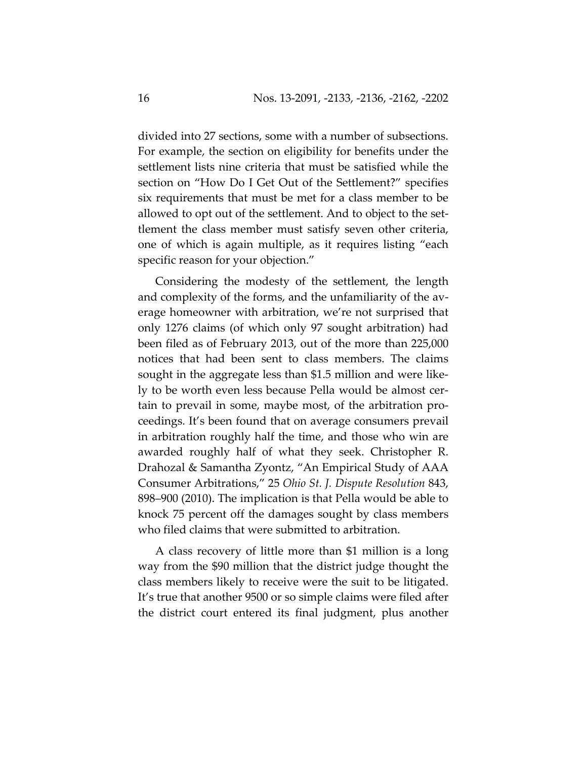divided into 27 sections, some with a number of subsections. For example, the section on eligibility for benefits under the settlement lists nine criteria that must be satisfied while the section on "How Do I Get Out of the Settlement?" specifies six requirements that must be met for a class member to be allowed to opt out of the settlement. And to object to the settlement the class member must satisfy seven other criteria, one of which is again multiple, as it requires listing "each specific reason for your objection."

Considering the modesty of the settlement, the length and complexity of the forms, and the unfamiliarity of the average homeowner with arbitration, we're not surprised that only 1276 claims (of which only 97 sought arbitration) had been filed as of February 2013, out of the more than 225,000 notices that had been sent to class members. The claims sought in the aggregate less than \$1.5 million and were likely to be worth even less because Pella would be almost certain to prevail in some, maybe most, of the arbitration proceedings. It's been found that on average consumers prevail in arbitration roughly half the time, and those who win are awarded roughly half of what they seek. Christopher R. Drahozal & Samantha Zyontz, "An Empirical Study of AAA Consumer Arbitrations," 25 *Ohio St. J. Dispute Resolution* 843, 898–900 (2010). The implication is that Pella would be able to knock 75 percent off the damages sought by class members who filed claims that were submitted to arbitration.

A class recovery of little more than \$1 million is a long way from the \$90 million that the district judge thought the class members likely to receive were the suit to be litigated. It's true that another 9500 or so simple claims were filed after the district court entered its final judgment, plus another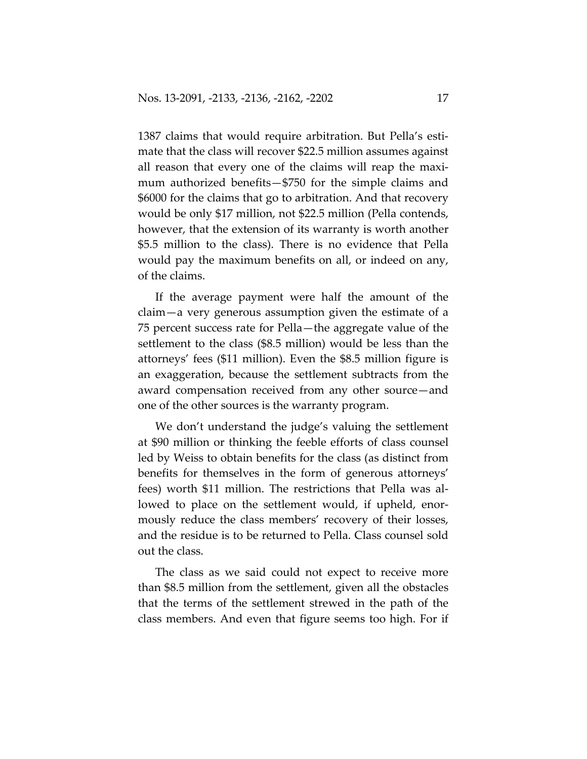1387 claims that would require arbitration. But Pella's estimate that the class will recover \$22.5 million assumes against all reason that every one of the claims will reap the maximum authorized benefits—\$750 for the simple claims and \$6000 for the claims that go to arbitration. And that recovery would be only \$17 million, not \$22.5 million (Pella contends, however, that the extension of its warranty is worth another \$5.5 million to the class). There is no evidence that Pella would pay the maximum benefits on all, or indeed on any, of the claims.

If the average payment were half the amount of the claim—a very generous assumption given the estimate of a 75 percent success rate for Pella—the aggregate value of the settlement to the class (\$8.5 million) would be less than the attorneys' fees (\$11 million). Even the \$8.5 million figure is an exaggeration, because the settlement subtracts from the award compensation received from any other source—and one of the other sources is the warranty program.

We don't understand the judge's valuing the settlement at \$90 million or thinking the feeble efforts of class counsel led by Weiss to obtain benefits for the class (as distinct from benefits for themselves in the form of generous attorneys' fees) worth \$11 million. The restrictions that Pella was allowed to place on the settlement would, if upheld, enormously reduce the class members' recovery of their losses, and the residue is to be returned to Pella. Class counsel sold out the class.

The class as we said could not expect to receive more than \$8.5 million from the settlement, given all the obstacles that the terms of the settlement strewed in the path of the class members. And even that figure seems too high. For if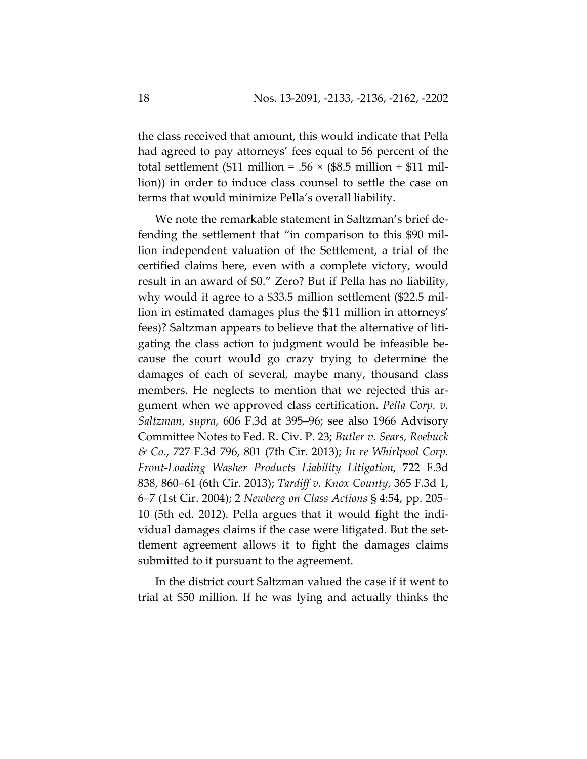the class received that amount, this would indicate that Pella had agreed to pay attorneys' fees equal to 56 percent of the total settlement (\$11 million = .56  $\times$  (\$8.5 million + \$11 million)) in order to induce class counsel to settle the case on terms that would minimize Pella's overall liability.

We note the remarkable statement in Saltzman's brief defending the settlement that "in comparison to this \$90 million independent valuation of the Settlement, a trial of the certified claims here, even with a complete victory, would result in an award of \$0." Zero? But if Pella has no liability, why would it agree to a \$33.5 million settlement (\$22.5 million in estimated damages plus the \$11 million in attorneys' fees)? Saltzman appears to believe that the alternative of litigating the class action to judgment would be infeasible because the court would go crazy trying to determine the damages of each of several, maybe many, thousand class members. He neglects to mention that we rejected this argument when we approved class certification. *Pella Corp. v. Saltzman*, *supra*, 606 F.3d at 395–96; see also 1966 Advisory Committee Notes to Fed. R. Civ. P. 23; *Butler v. Sears, Roebuck & Co.*, 727 F.3d 796, 801 (7th Cir. 2013); *In re Whirlpool Corp. Front-Loading Washer Products Liability Litigation*, 722 F.3d 838, 860–61 (6th Cir. 2013); *Tardiff v. Knox County*, 365 F.3d 1, 6–7 (1st Cir. 2004); 2 *Newberg on Class Actions* § 4:54, pp. 205– 10 (5th ed. 2012). Pella argues that it would fight the individual damages claims if the case were litigated. But the settlement agreement allows it to fight the damages claims submitted to it pursuant to the agreement.

In the district court Saltzman valued the case if it went to trial at \$50 million. If he was lying and actually thinks the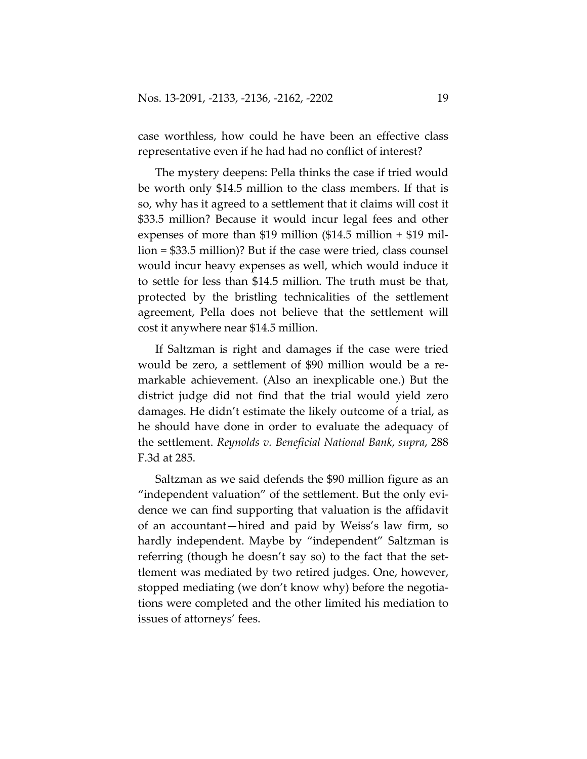case worthless, how could he have been an effective class representative even if he had had no conflict of interest?

The mystery deepens: Pella thinks the case if tried would be worth only \$14.5 million to the class members. If that is so, why has it agreed to a settlement that it claims will cost it \$33.5 million? Because it would incur legal fees and other expenses of more than \$19 million (\$14.5 million + \$19 million = \$33.5 million)? But if the case were tried, class counsel would incur heavy expenses as well, which would induce it to settle for less than \$14.5 million. The truth must be that, protected by the bristling technicalities of the settlement agreement, Pella does not believe that the settlement will cost it anywhere near \$14.5 million.

If Saltzman is right and damages if the case were tried would be zero, a settlement of \$90 million would be a remarkable achievement. (Also an inexplicable one.) But the district judge did not find that the trial would yield zero damages. He didn't estimate the likely outcome of a trial, as he should have done in order to evaluate the adequacy of the settlement. *Reynolds v. Beneficial National Bank*, *supra*, 288 F.3d at 285.

Saltzman as we said defends the \$90 million figure as an "independent valuation" of the settlement. But the only evidence we can find supporting that valuation is the affidavit of an accountant—hired and paid by Weiss's law firm, so hardly independent. Maybe by "independent" Saltzman is referring (though he doesn't say so) to the fact that the settlement was mediated by two retired judges. One, however, stopped mediating (we don't know why) before the negotiations were completed and the other limited his mediation to issues of attorneys' fees.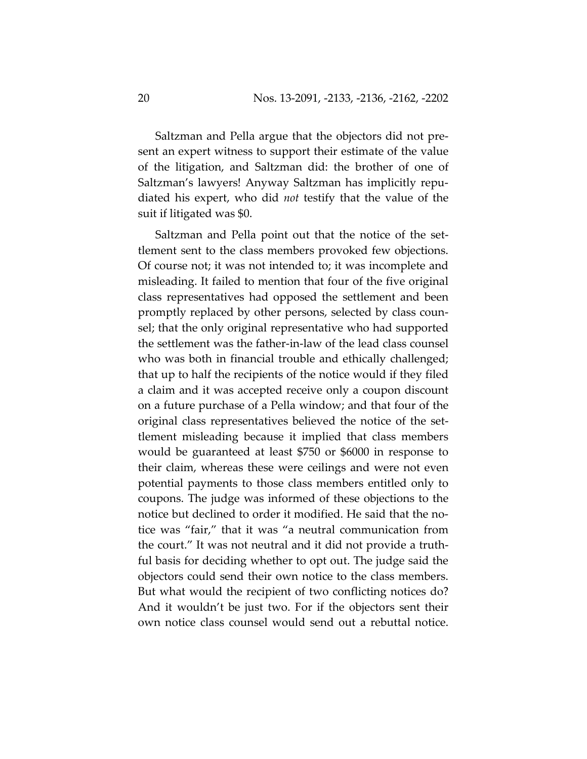Saltzman and Pella argue that the objectors did not present an expert witness to support their estimate of the value of the litigation, and Saltzman did: the brother of one of Saltzman's lawyers! Anyway Saltzman has implicitly repudiated his expert, who did *not* testify that the value of the suit if litigated was \$0.

Saltzman and Pella point out that the notice of the settlement sent to the class members provoked few objections. Of course not; it was not intended to; it was incomplete and misleading. It failed to mention that four of the five original class representatives had opposed the settlement and been promptly replaced by other persons, selected by class counsel; that the only original representative who had supported the settlement was the father-in-law of the lead class counsel who was both in financial trouble and ethically challenged; that up to half the recipients of the notice would if they filed a claim and it was accepted receive only a coupon discount on a future purchase of a Pella window; and that four of the original class representatives believed the notice of the settlement misleading because it implied that class members would be guaranteed at least \$750 or \$6000 in response to their claim, whereas these were ceilings and were not even potential payments to those class members entitled only to coupons. The judge was informed of these objections to the notice but declined to order it modified. He said that the notice was "fair," that it was "a neutral communication from the court." It was not neutral and it did not provide a truthful basis for deciding whether to opt out. The judge said the objectors could send their own notice to the class members. But what would the recipient of two conflicting notices do? And it wouldn't be just two. For if the objectors sent their own notice class counsel would send out a rebuttal notice.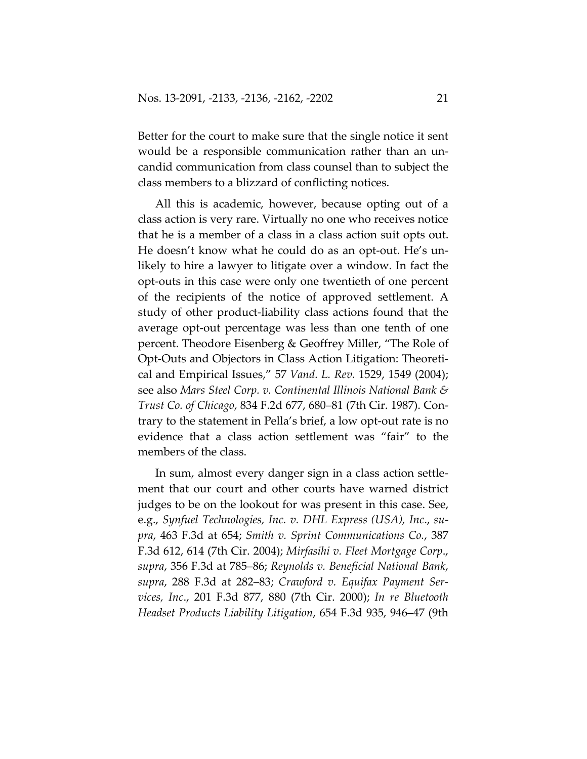Better for the court to make sure that the single notice it sent would be a responsible communication rather than an uncandid communication from class counsel than to subject the class members to a blizzard of conflicting notices.

All this is academic, however, because opting out of a class action is very rare. Virtually no one who receives notice that he is a member of a class in a class action suit opts out. He doesn't know what he could do as an opt-out. He's unlikely to hire a lawyer to litigate over a window. In fact the opt-outs in this case were only one twentieth of one percent of the recipients of the notice of approved settlement. A study of other product-liability class actions found that the average opt-out percentage was less than one tenth of one percent. Theodore Eisenberg & Geoffrey Miller, "The Role of Opt-Outs and Objectors in Class Action Litigation: Theoretical and Empirical Issues," 57 *Vand. L. Rev.* 1529, 1549 (2004); see also *Mars Steel Corp. v. Continental Illinois National Bank & Trust Co. of Chicago*, 834 F.2d 677, 680–81 (7th Cir. 1987). Contrary to the statement in Pella's brief, a low opt-out rate is no evidence that a class action settlement was "fair" to the members of the class.

In sum, almost every danger sign in a class action settlement that our court and other courts have warned district judges to be on the lookout for was present in this case. See, e.g., *Synfuel Technologies, Inc. v. DHL Express (USA), Inc*., *supra*, 463 F.3d at 654; *Smith v. Sprint Communications Co.*, 387 F.3d 612, 614 (7th Cir. 2004); *Mirfasihi v. Fleet Mortgage Corp*., *supra*, 356 F.3d at 785–86; *Reynolds v. Beneficial National Bank*, *supra*, 288 F.3d at 282–83; *Crawford v. Equifax Payment Services, Inc*., 201 F.3d 877, 880 (7th Cir. 2000); *In re Bluetooth Headset Products Liability Litigation*, 654 F.3d 935, 946–47 (9th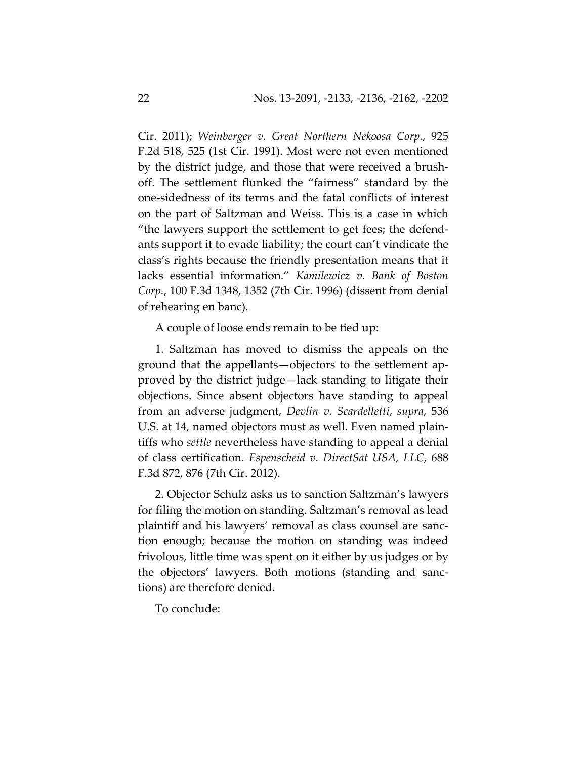Cir. 2011); *Weinberger v. Great Northern Nekoosa Corp.*, 925 F.2d 518, 525 (1st Cir. 1991). Most were not even mentioned by the district judge, and those that were received a brushoff. The settlement flunked the "fairness" standard by the one-sidedness of its terms and the fatal conflicts of interest on the part of Saltzman and Weiss. This is a case in which "the lawyers support the settlement to get fees; the defendants support it to evade liability; the court can't vindicate the class's rights because the friendly presentation means that it lacks essential information." *Kamilewicz v. Bank of Boston Corp.*, 100 F.3d 1348, 1352 (7th Cir. 1996) (dissent from denial of rehearing en banc).

A couple of loose ends remain to be tied up:

1. Saltzman has moved to dismiss the appeals on the ground that the appellants—objectors to the settlement approved by the district judge—lack standing to litigate their objections. Since absent objectors have standing to appeal from an adverse judgment, *Devlin v. Scardelletti*, *supra*, 536 U.S. at 14, named objectors must as well. Even named plaintiffs who *settle* nevertheless have standing to appeal a denial of class certification. *Espenscheid v. DirectSat USA, LLC*, 688 F.3d 872, 876 (7th Cir. 2012).

2. Objector Schulz asks us to sanction Saltzman's lawyers for filing the motion on standing. Saltzman's removal as lead plaintiff and his lawyers' removal as class counsel are sanction enough; because the motion on standing was indeed frivolous, little time was spent on it either by us judges or by the objectors' lawyers. Both motions (standing and sanctions) are therefore denied.

To conclude: